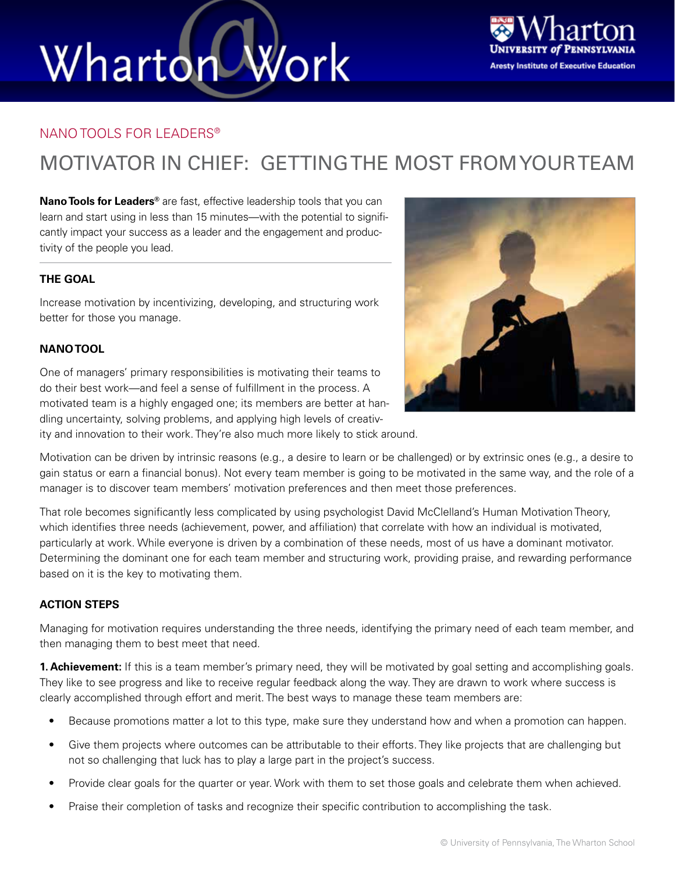# Wharton Work



#### NANO TOOLS FOR LEADERS®

### MOTIVATOR IN CHIEF: GETTING THE MOST FROM YOUR TEAM

**Nano Tools for Leaders®** are fast, effective leadership tools that you can learn and start using in less than 15 minutes—with the potential to significantly impact your success as a leader and the engagement and productivity of the people you lead.

#### **THE GOAL**

Increase motivation by incentivizing, developing, and structuring work better for those you manage.

#### **NANO TOOL**

One of managers' primary responsibilities is motivating their teams to do their best work—and feel a sense of fulfillment in the process. A motivated team is a highly engaged one; its members are better at handling uncertainty, solving problems, and applying high levels of creativ-



ity and innovation to their work. They're also much more likely to stick around.

Motivation can be driven by intrinsic reasons (e.g., a desire to learn or be challenged) or by extrinsic ones (e.g., a desire to gain status or earn a financial bonus). Not every team member is going to be motivated in the same way, and the role of a manager is to discover team members' motivation preferences and then meet those preferences.

That role becomes significantly less complicated by using psychologist David McClelland's Human Motivation Theory, which identifies three needs (achievement, power, and affiliation) that correlate with how an individual is motivated, particularly at work. While everyone is driven by a combination of these needs, most of us have a dominant motivator. Determining the dominant one for each team member and structuring work, providing praise, and rewarding performance based on it is the key to motivating them.

#### **ACTION STEPS**

Managing for motivation requires understanding the three needs, identifying the primary need of each team member, and then managing them to best meet that need.

**1. Achievement:** If this is a team member's primary need, they will be motivated by goal setting and accomplishing goals. They like to see progress and like to receive regular feedback along the way. They are drawn to work where success is clearly accomplished through effort and merit. The best ways to manage these team members are:

- Because promotions matter a lot to this type, make sure they understand how and when a promotion can happen.
- Give them projects where outcomes can be attributable to their efforts. They like projects that are challenging but not so challenging that luck has to play a large part in the project's success.
- Provide clear goals for the quarter or year. Work with them to set those goals and celebrate them when achieved.
- Praise their completion of tasks and recognize their specific contribution to accomplishing the task.